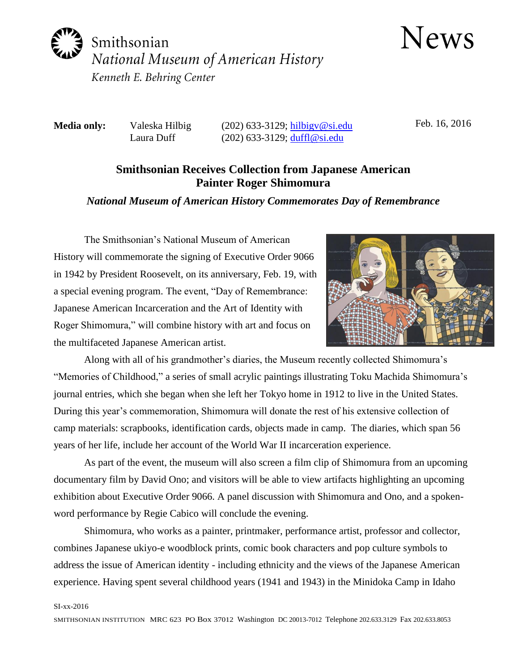

**News** 

**Media only:** Valeska Hilbig (202) 633-3129; hilbigy@si.edu Laura Duff (202) 633-3129; [duffl@si.edu](mailto:duffl@si.edu)

Feb. 16, 2016

## **Smithsonian Receives Collection from Japanese American Painter Roger Shimomura**

## *National Museum of American History Commemorates Day of Remembrance*

The Smithsonian's National Museum of American History will commemorate the signing of Executive Order 9066 in 1942 by President Roosevelt, on its anniversary, Feb. 19, with a special evening program. The event, "Day of Remembrance: Japanese American Incarceration and the Art of Identity with Roger Shimomura," will combine history with art and focus on the multifaceted Japanese American artist.



Along with all of his grandmother's diaries, the Museum recently collected Shimomura's "Memories of Childhood," a series of small acrylic paintings illustrating Toku Machida Shimomura's journal entries, which she began when she left her Tokyo home in 1912 to live in the United States. During this year's commemoration, Shimomura will donate the rest of his extensive collection of camp materials: scrapbooks, identification cards, objects made in camp. The diaries, which span 56 years of her life, include her account of the World War II incarceration experience.

As part of the event, the museum will also screen a film clip of Shimomura from an upcoming documentary film by David Ono; and visitors will be able to view artifacts highlighting an upcoming exhibition about Executive Order 9066. A panel discussion with Shimomura and Ono, and a spokenword performance by Regie Cabico will conclude the evening.

Shimomura, who works as a painter, printmaker, performance artist, professor and collector, combines Japanese ukiyo-e woodblock prints, comic book characters and pop culture symbols to address the issue of American identity - including ethnicity and the views of the Japanese American experience. Having spent several childhood years (1941 and 1943) in the Minidoka Camp in Idaho

## SI-xx-2016

SMITHSONIAN INSTITUTION MRC 623 PO Box 37012 Washington DC 20013-7012 Telephone 202.633.3129 Fax 202.633.8053